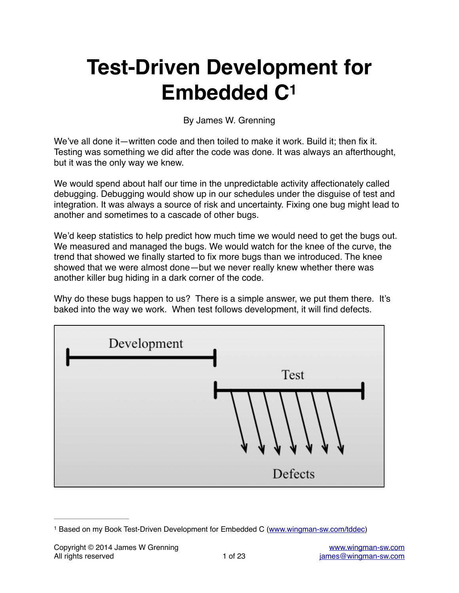# **Test-Driven Development for Embedded C1**

By James W. Grenning

We've all done it—written code and then toiled to make it work. Build it; then fix it. Testing was something we did after the code was done. It was always an afterthought, but it was the only way we knew.

We would spend about half our time in the unpredictable activity affectionately called debugging. Debugging would show up in our schedules under the disguise of test and integration. It was always a source of risk and uncertainty. Fixing one bug might lead to another and sometimes to a cascade of other bugs.

We'd keep statistics to help predict how much time we would need to get the bugs out. We measured and managed the bugs. We would watch for the knee of the curve, the trend that showed we finally started to fix more bugs than we introduced. The knee showed that we were almost done—but we never really knew whether there was another killer bug hiding in a dark corner of the code.

Why do these bugs happen to us? There is a simple answer, we put them there. It's baked into the way we work. When test follows development, it will find defects.



<sup>&</sup>lt;sup>1</sup> Based on my Book Test-Driven Development for Embedded C [\(www.wingman-sw.com/tddec\)](http://www.wingman-sw.com/tddec)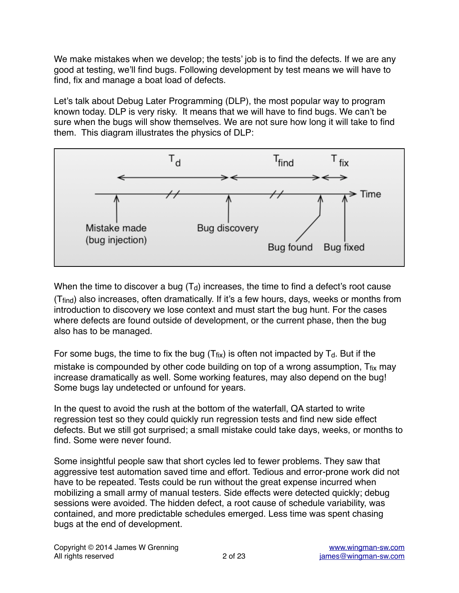We make mistakes when we develop; the tests' job is to find the defects. If we are any good at testing, we'll find bugs. Following development by test means we will have to find, fix and manage a boat load of defects.

Let's talk about Debug Later Programming (DLP), the most popular way to program known today. DLP is very risky. It means that we will have to find bugs. We can't be sure when the bugs will show themselves. We are not sure how long it will take to find them. This diagram illustrates the physics of DLP:



When the time to discover a bug  $(T_d)$  increases, the time to find a defect's root cause (Tfind) also increases, often dramatically. If it's a few hours, days, weeks or months from introduction to discovery we lose context and must start the bug hunt. For the cases where defects are found outside of development, or the current phase, then the bug also has to be managed.

For some bugs, the time to fix the bug  $(T_{fix})$  is often not impacted by  $T_d$ . But if the mistake is compounded by other code building on top of a wrong assumption,  $T_{fix}$  may increase dramatically as well. Some working features, may also depend on the bug! Some bugs lay undetected or unfound for years.

In the quest to avoid the rush at the bottom of the waterfall, QA started to write regression test so they could quickly run regression tests and find new side effect defects. But we still got surprised; a small mistake could take days, weeks, or months to find. Some were never found.

Some insightful people saw that short cycles led to fewer problems. They saw that aggressive test automation saved time and effort. Tedious and error-prone work did not have to be repeated. Tests could be run without the great expense incurred when mobilizing a small army of manual testers. Side effects were detected quickly; debug sessions were avoided. The hidden defect, a root cause of schedule variability, was contained, and more predictable schedules emerged. Less time was spent chasing bugs at the end of development.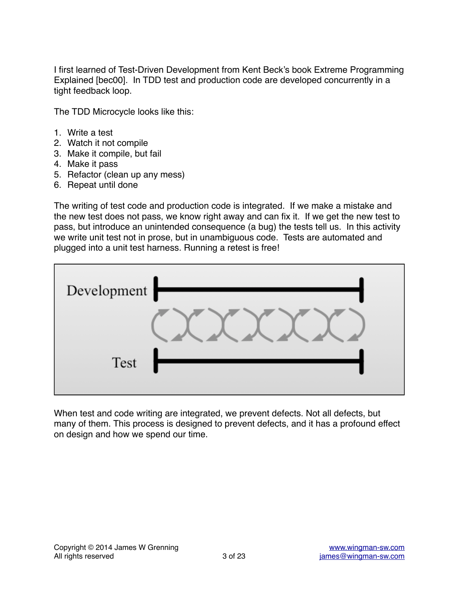I first learned of Test-Driven Development from Kent Beck's book Extreme Programming Explained [bec00]. In TDD test and production code are developed concurrently in a tight feedback loop.

The TDD Microcycle looks like this:

- 1. Write a test
- 2. Watch it not compile
- 3. Make it compile, but fail
- 4. Make it pass
- 5. Refactor (clean up any mess)
- 6. Repeat until done

The writing of test code and production code is integrated. If we make a mistake and the new test does not pass, we know right away and can fix it. If we get the new test to pass, but introduce an unintended consequence (a bug) the tests tell us. In this activity we write unit test not in prose, but in unambiguous code. Tests are automated and plugged into a unit test harness. Running a retest is free!



When test and code writing are integrated, we prevent defects. Not all defects, but many of them. This process is designed to prevent defects, and it has a profound effect on design and how we spend our time.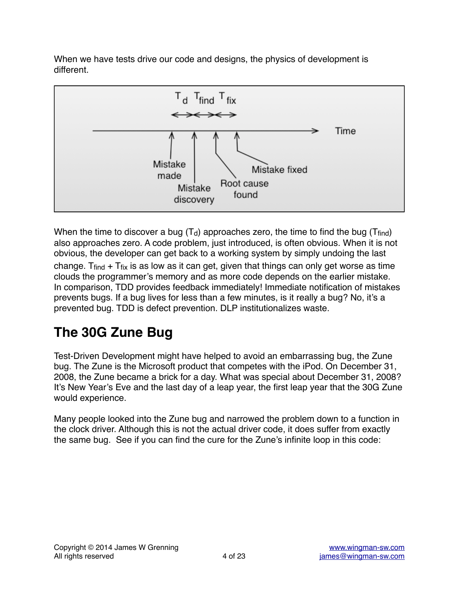When we have tests drive our code and designs, the physics of development is different.



When the time to discover a bug  $(T_d)$  approaches zero, the time to find the bug (T<sub>find</sub>) also approaches zero. A code problem, just introduced, is often obvious. When it is not obvious, the developer can get back to a working system by simply undoing the last change. T $f_{\text{find}} + T_{\text{fix}}$  is as low as it can get, given that things can only get worse as time clouds the programmer's memory and as more code depends on the earlier mistake. In comparison, TDD provides feedback immediately! Immediate notification of mistakes prevents bugs. If a bug lives for less than a few minutes, is it really a bug? No, it's a prevented bug. TDD is defect prevention. DLP institutionalizes waste.

# **The 30G Zune Bug**

Test-Driven Development might have helped to avoid an embarrassing bug, the Zune bug. The Zune is the Microsoft product that competes with the iPod. On December 31, 2008, the Zune became a brick for a day. What was special about December 31, 2008? It's New Year's Eve and the last day of a leap year, the first leap year that the 30G Zune would experience.

Many people looked into the Zune bug and narrowed the problem down to a function in the clock driver. Although this is not the actual driver code, it does suffer from exactly the same bug. See if you can find the cure for the Zune's infinite loop in this code: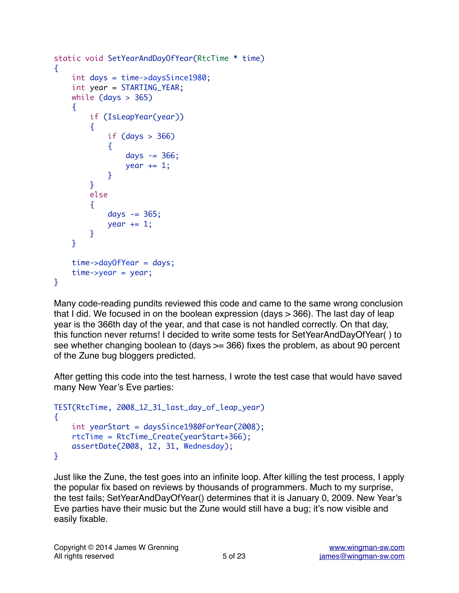```
static void SetYearAndDayOfYear(RtcTime * time)
{
     int days = time->daysSince1980;
     int year = STARTING_YEAR;
    while (days > 365) {
         if (IsLeapYear(year))
         {
            if (days > 366)
\{days - 366;
               year += 1; }
         }
         else
         {
           days - 365;
           year += 1;
        }
     }
     time->dayOfYear = days;
     time->year = year;
}
```
Many code-reading pundits reviewed this code and came to the same wrong conclusion that I did. We focused in on the boolean expression (days > 366). The last day of leap year is the 366th day of the year, and that case is not handled correctly. On that day, this function never returns! I decided to write some tests for SetYearAndDayOfYear( ) to see whether changing boolean to (days >= 366) fixes the problem, as about 90 percent of the Zune bug bloggers predicted.

After getting this code into the test harness, I wrote the test case that would have saved many New Year's Eve parties:

```
TEST(RtcTime, 2008_12_31_last_day_of_leap_year)
{
     int yearStart = daysSince1980ForYear(2008);
     rtcTime = RtcTime_Create(yearStart+366);
     assertDate(2008, 12, 31, Wednesday);
}
```
Just like the Zune, the test goes into an infinite loop. After killing the test process, I apply the popular fix based on reviews by thousands of programmers. Much to my surprise, the test fails; SetYearAndDayOfYear() determines that it is January 0, 2009. New Year's Eve parties have their music but the Zune would still have a bug; it's now visible and easily fixable.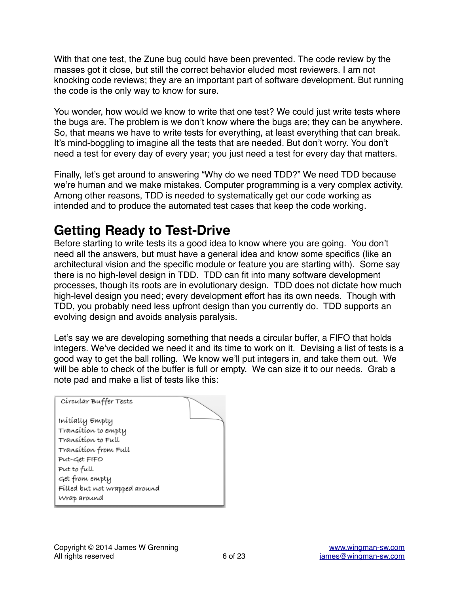With that one test, the Zune bug could have been prevented. The code review by the masses got it close, but still the correct behavior eluded most reviewers. I am not knocking code reviews; they are an important part of software development. But running the code is the only way to know for sure.

You wonder, how would we know to write that one test? We could just write tests where the bugs are. The problem is we don't know where the bugs are; they can be anywhere. So, that means we have to write tests for everything, at least everything that can break. It's mind-boggling to imagine all the tests that are needed. But don't worry. You don't need a test for every day of every year; you just need a test for every day that matters.

Finally, let's get around to answering "Why do we need TDD?" We need TDD because we're human and we make mistakes. Computer programming is a very complex activity. Among other reasons, TDD is needed to systematically get our code working as intended and to produce the automated test cases that keep the code working.

# **Getting Ready to Test-Drive**

Before starting to write tests its a good idea to know where you are going. You don't need all the answers, but must have a general idea and know some specifics (like an architectural vision and the specific module or feature you are starting with). Some say there is no high-level design in TDD. TDD can fit into many software development processes, though its roots are in evolutionary design. TDD does not dictate how much high-level design you need; every development effort has its own needs. Though with TDD, you probably need less upfront design than you currently do. TDD supports an evolving design and avoids analysis paralysis.

Let's say we are developing something that needs a circular buffer, a FIFO that holds integers. We've decided we need it and its time to work on it. Devising a list of tests is a good way to get the ball rolling. We know we'll put integers in, and take them out. We will be able to check of the buffer is full or empty. We can size it to our needs. Grab a note pad and make a list of tests like this:

| Círcular Buffer Tests         |  |
|-------------------------------|--|
| Initially Empty               |  |
| Transition to empty           |  |
| Transítíon to Full            |  |
| Transition from Full          |  |
| Put-Get FIFO                  |  |
| Put to full                   |  |
| Get from empty                |  |
| Fílled but not wrapped around |  |
| Wrap around                   |  |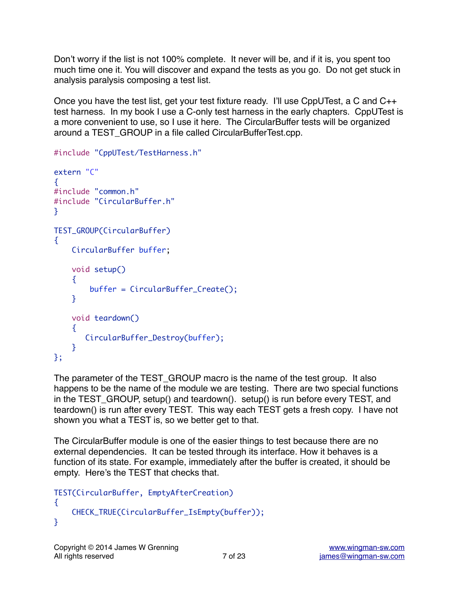Don't worry if the list is not 100% complete. It never will be, and if it is, you spent too much time one it. You will discover and expand the tests as you go. Do not get stuck in analysis paralysis composing a test list.

Once you have the test list, get your test fixture ready. I'll use CppUTest, a C and C++ test harness. In my book I use a C-only test harness in the early chapters. CppUTest is a more convenient to use, so I use it here. The CircularBuffer tests will be organized around a TEST\_GROUP in a file called CircularBufferTest.cpp.

```
#include "CppUTest/TestHarness.h"
```

```
extern "C"
{
#include "common.h"
#include "CircularBuffer.h"
}
TEST_GROUP(CircularBuffer)
{
     CircularBuffer buffer;
     void setup()
     {
         buffer = CircularBuffer_Create();
     }
     void teardown()
    \{ CircularBuffer_Destroy(buffer);
     }
};
```
The parameter of the TEST\_GROUP macro is the name of the test group. It also happens to be the name of the module we are testing. There are two special functions in the TEST\_GROUP, setup() and teardown(). setup() is run before every TEST, and teardown() is run after every TEST. This way each TEST gets a fresh copy. I have not shown you what a TEST is, so we better get to that.

The CircularBuffer module is one of the easier things to test because there are no external dependencies. It can be tested through its interface. How it behaves is a function of its state. For example, immediately after the buffer is created, it should be empty. Here's the TEST that checks that.

```
TEST(CircularBuffer, EmptyAfterCreation)
{
     CHECK_TRUE(CircularBuffer_IsEmpty(buffer));
}
```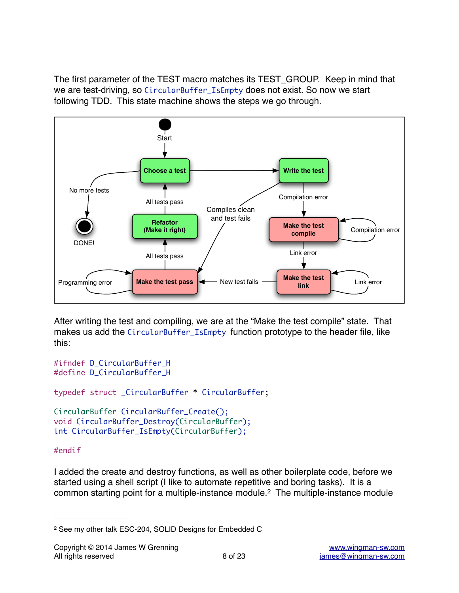The first parameter of the TEST macro matches its TEST\_GROUP. Keep in mind that we are test-driving, so CircularBuffer\_IsEmpty does not exist. So now we start following TDD. This state machine shows the steps we go through.



After writing the test and compiling, we are at the "Make the test compile" state. That makes us add the CircularBuffer\_IsEmpty function prototype to the header file, like this:

```
#ifndef D_CircularBuffer_H
#define D_CircularBuffer_H
typedef struct _CircularBuffer * CircularBuffer;
CircularBuffer CircularBuffer_Create();
void CircularBuffer_Destroy(CircularBuffer);
int CircularBuffer_IsEmpty(CircularBuffer);
```
#### #endif

I added the create and destroy functions, as well as other boilerplate code, before we started using a shell script (I like to automate repetitive and boring tasks). It is a common starting point for a multiple-instance module.<sup>2</sup> The multiple-instance module

<sup>2</sup> See my other talk ESC-204, SOLID Designs for Embedded C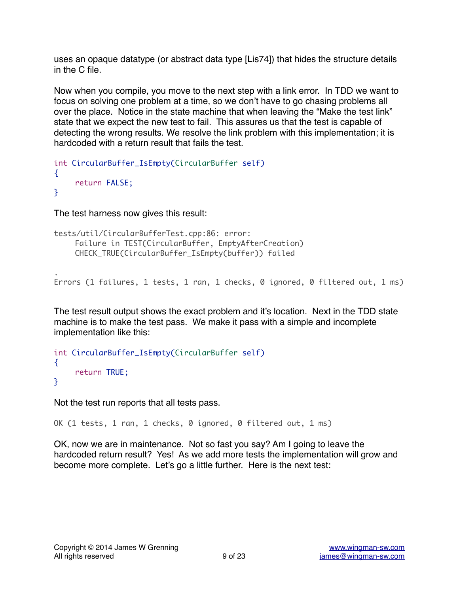uses an opaque datatype (or abstract data type [Lis74]) that hides the structure details in the C file.

Now when you compile, you move to the next step with a link error. In TDD we want to focus on solving one problem at a time, so we don't have to go chasing problems all over the place. Notice in the state machine that when leaving the "Make the test link" state that we expect the new test to fail. This assures us that the test is capable of detecting the wrong results. We resolve the link problem with this implementation; it is hardcoded with a return result that fails the test.

```
int CircularBuffer_IsEmpty(CircularBuffer self)
{
     return FALSE;
}
```
The test harness now gives this result:

.

```
tests/util/CircularBufferTest.cpp:86: error: 
     Failure in TEST(CircularBuffer, EmptyAfterCreation)
     CHECK_TRUE(CircularBuffer_IsEmpty(buffer)) failed
```
Errors (1 failures, 1 tests, 1 ran, 1 checks, 0 ignored, 0 filtered out, 1 ms)

The test result output shows the exact problem and it's location. Next in the TDD state machine is to make the test pass. We make it pass with a simple and incomplete implementation like this:

```
int CircularBuffer_IsEmpty(CircularBuffer self)
{
     return TRUE;
}
```
Not the test run reports that all tests pass.

OK (1 tests, 1 ran, 1 checks, 0 ignored, 0 filtered out, 1 ms)

OK, now we are in maintenance. Not so fast you say? Am I going to leave the hardcoded return result? Yes! As we add more tests the implementation will grow and become more complete. Let's go a little further. Here is the next test: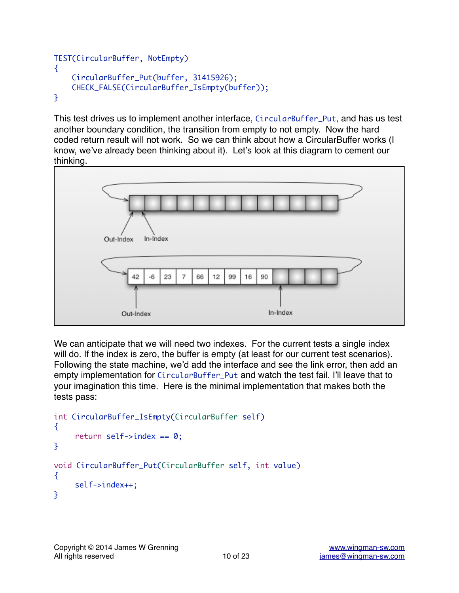```
TEST(CircularBuffer, NotEmpty)
\{ CircularBuffer_Put(buffer, 31415926);
     CHECK_FALSE(CircularBuffer_IsEmpty(buffer));
}
```
This test drives us to implement another interface, CircularBuffer\_Put, and has us test another boundary condition, the transition from empty to not empty. Now the hard coded return result will not work. So we can think about how a CircularBuffer works (I know, we've already been thinking about it). Let's look at this diagram to cement our thinking.



We can anticipate that we will need two indexes. For the current tests a single index will do. If the index is zero, the buffer is empty (at least for our current test scenarios). Following the state machine, we'd add the interface and see the link error, then add an empty implementation for CircularBuffer\_Put and watch the test fail. I'll leave that to your imagination this time. Here is the minimal implementation that makes both the tests pass:

```
int CircularBuffer_IsEmpty(CircularBuffer self)
{
    return self->index == 0;
}
void CircularBuffer_Put(CircularBuffer self, int value)
{
     self->index++;
}
```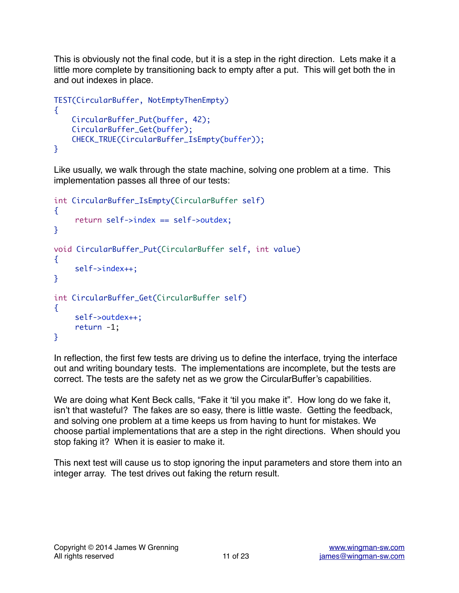This is obviously not the final code, but it is a step in the right direction. Lets make it a little more complete by transitioning back to empty after a put. This will get both the in and out indexes in place.

```
TEST(CircularBuffer, NotEmptyThenEmpty)
\{ CircularBuffer_Put(buffer, 42);
     CircularBuffer_Get(buffer);
     CHECK_TRUE(CircularBuffer_IsEmpty(buffer));
}
```
Like usually, we walk through the state machine, solving one problem at a time. This implementation passes all three of our tests:

```
int CircularBuffer_IsEmpty(CircularBuffer self)
{
     return self->index == self->outdex;
}
void CircularBuffer_Put(CircularBuffer self, int value)
{
     self->index++;
}
int CircularBuffer_Get(CircularBuffer self)
\{ self->outdex++;
     return -1;
}
```
In reflection, the first few tests are driving us to define the interface, trying the interface out and writing boundary tests. The implementations are incomplete, but the tests are correct. The tests are the safety net as we grow the CircularBuffer's capabilities.

We are doing what Kent Beck calls, "Fake it 'til you make it". How long do we fake it, isn't that wasteful? The fakes are so easy, there is little waste. Getting the feedback, and solving one problem at a time keeps us from having to hunt for mistakes. We choose partial implementations that are a step in the right directions. When should you stop faking it? When it is easier to make it.

This next test will cause us to stop ignoring the input parameters and store them into an integer array. The test drives out faking the return result.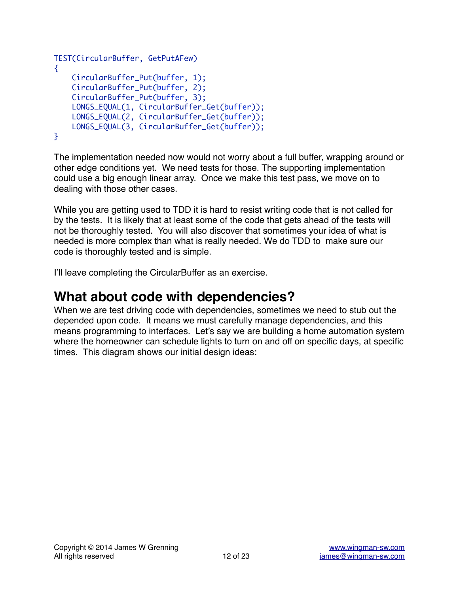```
TEST(CircularBuffer, GetPutAFew)
\{ CircularBuffer_Put(buffer, 1);
     CircularBuffer_Put(buffer, 2);
     CircularBuffer_Put(buffer, 3);
     LONGS_EQUAL(1, CircularBuffer_Get(buffer));
     LONGS_EQUAL(2, CircularBuffer_Get(buffer));
     LONGS_EQUAL(3, CircularBuffer_Get(buffer));
}
```
The implementation needed now would not worry about a full buffer, wrapping around or other edge conditions yet. We need tests for those. The supporting implementation could use a big enough linear array. Once we make this test pass, we move on to dealing with those other cases.

While you are getting used to TDD it is hard to resist writing code that is not called for by the tests. It is likely that at least some of the code that gets ahead of the tests will not be thoroughly tested. You will also discover that sometimes your idea of what is needed is more complex than what is really needed. We do TDD to make sure our code is thoroughly tested and is simple.

I'll leave completing the CircularBuffer as an exercise.

### **What about code with dependencies?**

When we are test driving code with dependencies, sometimes we need to stub out the depended upon code. It means we must carefully manage dependencies, and this means programming to interfaces. Let's say we are building a home automation system where the homeowner can schedule lights to turn on and off on specific days, at specific times. This diagram shows our initial design ideas: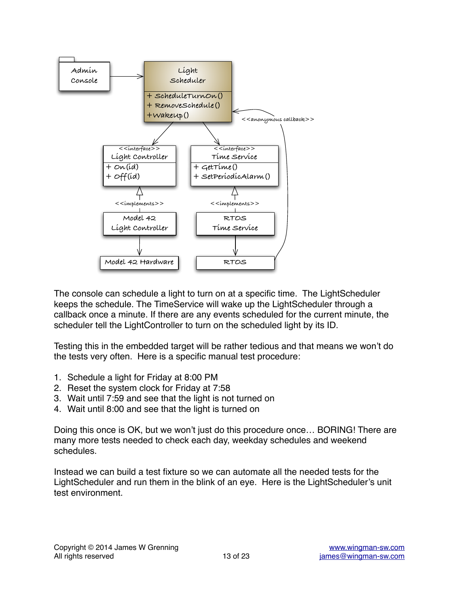

The console can schedule a light to turn on at a specific time. The LightScheduler keeps the schedule. The TimeService will wake up the LightScheduler through a callback once a minute. If there are any events scheduled for the current minute, the scheduler tell the LightController to turn on the scheduled light by its ID.

Testing this in the embedded target will be rather tedious and that means we won't do the tests very often. Here is a specific manual test procedure:

- 1. Schedule a light for Friday at 8:00 PM
- 2. Reset the system clock for Friday at 7:58
- 3. Wait until 7:59 and see that the light is not turned on
- 4. Wait until 8:00 and see that the light is turned on

Doing this once is OK, but we won't just do this procedure once… BORING! There are many more tests needed to check each day, weekday schedules and weekend schedules.

Instead we can build a test fixture so we can automate all the needed tests for the LightScheduler and run them in the blink of an eye. Here is the LightScheduler's unit test environment.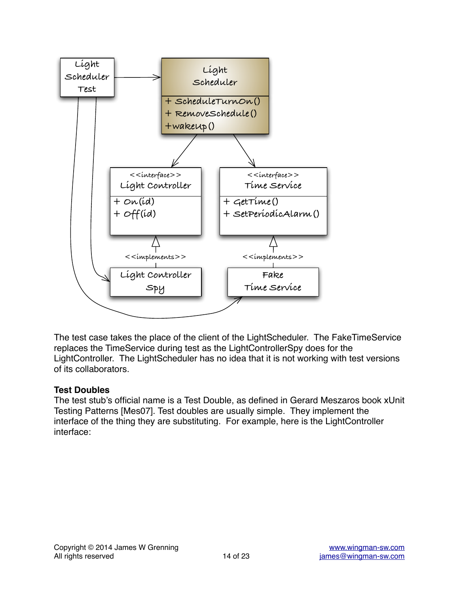

The test case takes the place of the client of the LightScheduler. The FakeTimeService replaces the TimeService during test as the LightControllerSpy does for the LightController. The LightScheduler has no idea that it is not working with test versions of its collaborators.

#### **Test Doubles**

The test stub's official name is a Test Double, as defined in Gerard Meszaros book xUnit Testing Patterns [Mes07]. Test doubles are usually simple. They implement the interface of the thing they are substituting. For example, here is the LightController interface: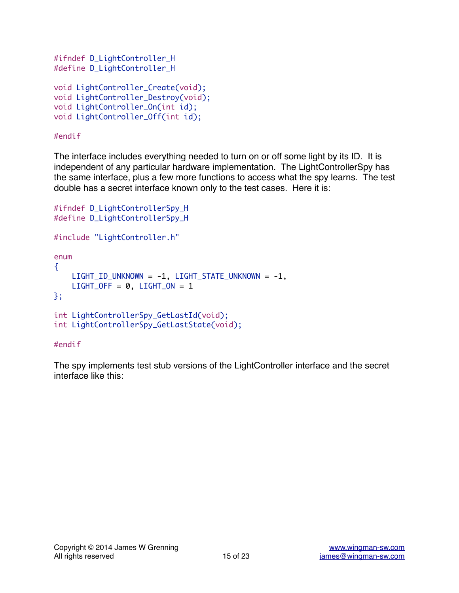```
#ifndef D_LightController_H
#define D_LightController_H
void LightController_Create(void);
void LightController_Destroy(void);
void LightController_On(int id);
void LightController_Off(int id);
```
#### #endif

The interface includes everything needed to turn on or off some light by its ID. It is independent of any particular hardware implementation. The LightControllerSpy has the same interface, plus a few more functions to access what the spy learns. The test double has a secret interface known only to the test cases. Here it is:

```
#ifndef D_LightControllerSpy_H
#define D_LightControllerSpy_H
#include "LightController.h"
enum
{
     LIGHT_ID_UNKNOWN = -1, LIGHT_STATE_UNKNOWN = -1,
    LIGHT_OFF = 0, LIGHT_ON = 1};
int LightControllerSpy_GetLastId(void);
int LightControllerSpy_GetLastState(void);
```
#### #endif

The spy implements test stub versions of the LightController interface and the secret interface like this: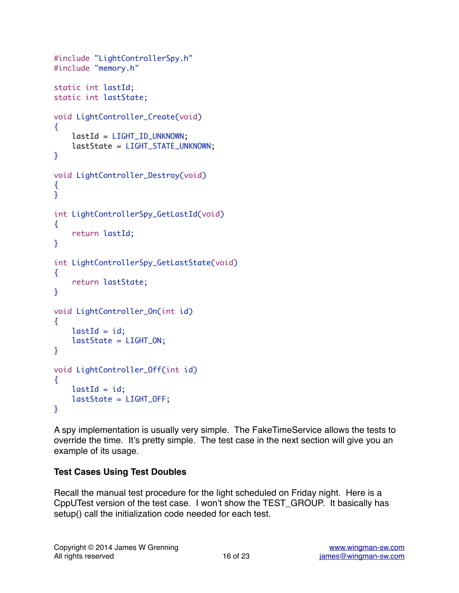```
#include "LightControllerSpy.h"
#include "memory.h"
static int lastId;
static int lastState;
void LightController_Create(void)
\{ lastId = LIGHT_ID_UNKNOWN;
     lastState = LIGHT_STATE_UNKNOWN;
}
void LightController_Destroy(void)
{
}
int LightControllerSpy_GetLastId(void)
{
     return lastId;
}
int LightControllerSpy_GetLastState(void)
\{ return lastState;
}
void LightController_On(int id)
{
    lastId = id; lastState = LIGHT_ON;
}
void LightController_Off(int id)
\{lastId = id; lastState = LIGHT_OFF;
}
```
A spy implementation is usually very simple. The FakeTimeService allows the tests to override the time. It's pretty simple. The test case in the next section will give you an example of its usage.

#### **Test Cases Using Test Doubles**

Recall the manual test procedure for the light scheduled on Friday night. Here is a CppUTest version of the test case. I won't show the TEST\_GROUP. It basically has setup() call the initialization code needed for each test.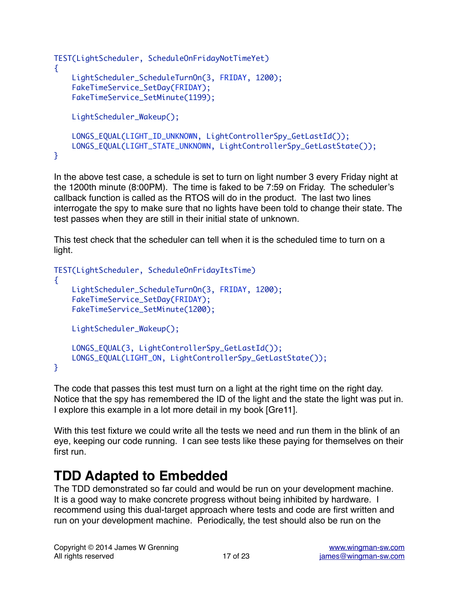```
TEST(LightScheduler, ScheduleOnFridayNotTimeYet)
\{ LightScheduler_ScheduleTurnOn(3, FRIDAY, 1200);
     FakeTimeService_SetDay(FRIDAY);
     FakeTimeService_SetMinute(1199);
     LightScheduler_Wakeup();
     LONGS_EQUAL(LIGHT_ID_UNKNOWN, LightControllerSpy_GetLastId());
     LONGS_EQUAL(LIGHT_STATE_UNKNOWN, LightControllerSpy_GetLastState());
}
```
In the above test case, a schedule is set to turn on light number 3 every Friday night at the 1200th minute (8:00PM). The time is faked to be 7:59 on Friday. The scheduler's callback function is called as the RTOS will do in the product. The last two lines interrogate the spy to make sure that no lights have been told to change their state. The test passes when they are still in their initial state of unknown.

This test check that the scheduler can tell when it is the scheduled time to turn on a light.

```
TEST(LightScheduler, ScheduleOnFridayItsTime)
{
     LightScheduler_ScheduleTurnOn(3, FRIDAY, 1200);
     FakeTimeService_SetDay(FRIDAY);
     FakeTimeService_SetMinute(1200);
     LightScheduler_Wakeup();
     LONGS_EQUAL(3, LightControllerSpy_GetLastId());
     LONGS_EQUAL(LIGHT_ON, LightControllerSpy_GetLastState());
}
```
The code that passes this test must turn on a light at the right time on the right day. Notice that the spy has remembered the ID of the light and the state the light was put in. I explore this example in a lot more detail in my book [Gre11].

With this test fixture we could write all the tests we need and run them in the blink of an eye, keeping our code running. I can see tests like these paying for themselves on their first run.

# **TDD Adapted to Embedded**

The TDD demonstrated so far could and would be run on your development machine. It is a good way to make concrete progress without being inhibited by hardware. I recommend using this dual-target approach where tests and code are first written and run on your development machine. Periodically, the test should also be run on the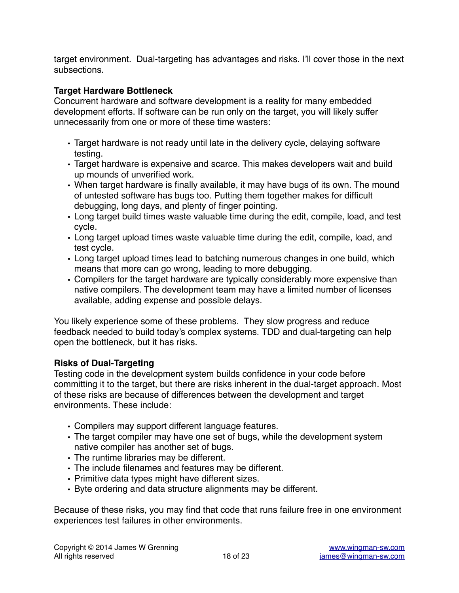target environment. Dual-targeting has advantages and risks. I'll cover those in the next subsections.

#### **Target Hardware Bottleneck**

Concurrent hardware and software development is a reality for many embedded development efforts. If software can be run only on the target, you will likely suffer unnecessarily from one or more of these time wasters:

- Target hardware is not ready until late in the delivery cycle, delaying software testing.
- Target hardware is expensive and scarce. This makes developers wait and build up mounds of unverified work.
- When target hardware is finally available, it may have bugs of its own. The mound of untested software has bugs too. Putting them together makes for difficult debugging, long days, and plenty of finger pointing.
- Long target build times waste valuable time during the edit, compile, load, and test cycle.
- Long target upload times waste valuable time during the edit, compile, load, and test cycle.
- Long target upload times lead to batching numerous changes in one build, which means that more can go wrong, leading to more debugging.
- Compilers for the target hardware are typically considerably more expensive than native compilers. The development team may have a limited number of licenses available, adding expense and possible delays.

You likely experience some of these problems. They slow progress and reduce feedback needed to build today's complex systems. TDD and dual-targeting can help open the bottleneck, but it has risks.

#### **Risks of Dual-Targeting**

Testing code in the development system builds confidence in your code before committing it to the target, but there are risks inherent in the dual-target approach. Most of these risks are because of differences between the development and target environments. These include:

- Compilers may support different language features.
- The target compiler may have one set of bugs, while the development system native compiler has another set of bugs.
- The runtime libraries may be different.
- The include filenames and features may be different.
- Primitive data types might have different sizes.
- Byte ordering and data structure alignments may be different.

Because of these risks, you may find that code that runs failure free in one environment experiences test failures in other environments.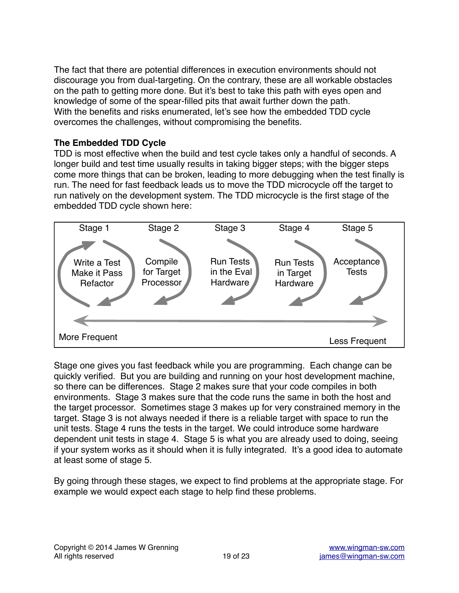The fact that there are potential differences in execution environments should not discourage you from dual-targeting. On the contrary, these are all workable obstacles on the path to getting more done. But it's best to take this path with eyes open and knowledge of some of the spear-filled pits that await further down the path. With the benefits and risks enumerated, let's see how the embedded TDD cycle overcomes the challenges, without compromising the benefits.

#### **The Embedded TDD Cycle**

TDD is most effective when the build and test cycle takes only a handful of seconds. A longer build and test time usually results in taking bigger steps; with the bigger steps come more things that can be broken, leading to more debugging when the test finally is run. The need for fast feedback leads us to move the TDD microcycle off the target to run natively on the development system. The TDD microcycle is the first stage of the embedded TDD cycle shown here:



Stage one gives you fast feedback while you are programming. Each change can be quickly verified. But you are building and running on your host development machine, so there can be differences. Stage 2 makes sure that your code compiles in both environments. Stage 3 makes sure that the code runs the same in both the host and the target processor. Sometimes stage 3 makes up for very constrained memory in the target. Stage 3 is not always needed if there is a reliable target with space to run the unit tests. Stage 4 runs the tests in the target. We could introduce some hardware dependent unit tests in stage 4. Stage 5 is what you are already used to doing, seeing if your system works as it should when it is fully integrated. It's a good idea to automate at least some of stage 5.

By going through these stages, we expect to find problems at the appropriate stage. For example we would expect each stage to help find these problems.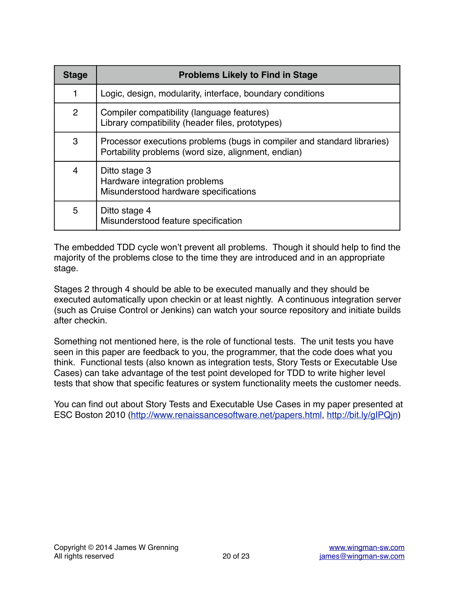| <b>Stage</b>   | <b>Problems Likely to Find in Stage</b>                                                                                        |
|----------------|--------------------------------------------------------------------------------------------------------------------------------|
| 1              | Logic, design, modularity, interface, boundary conditions                                                                      |
| $\overline{2}$ | Compiler compatibility (language features)<br>Library compatibility (header files, prototypes)                                 |
| 3              | Processor executions problems (bugs in compiler and standard libraries)<br>Portability problems (word size, alignment, endian) |
| 4              | Ditto stage 3<br>Hardware integration problems<br>Misunderstood hardware specifications                                        |
| 5              | Ditto stage 4<br>Misunderstood feature specification                                                                           |

The embedded TDD cycle won't prevent all problems. Though it should help to find the majority of the problems close to the time they are introduced and in an appropriate stage.

Stages 2 through 4 should be able to be executed manually and they should be executed automatically upon checkin or at least nightly. A continuous integration server (such as Cruise Control or Jenkins) can watch your source repository and initiate builds after checkin.

Something not mentioned here, is the role of functional tests. The unit tests you have seen in this paper are feedback to you, the programmer, that the code does what you think. Functional tests (also known as integration tests, Story Tests or Executable Use Cases) can take advantage of the test point developed for TDD to write higher level tests that show that specific features or system functionality meets the customer needs.

You can find out about Story Tests and Executable Use Cases in my paper presented at ESC Boston 2010 ([http://www.renaissancesoftware.net/papers.html,](http://www.renaissancesoftware.net/papers.html) [http://bit.ly/gIPQjn\)](http://bit.ly/gIPQjn)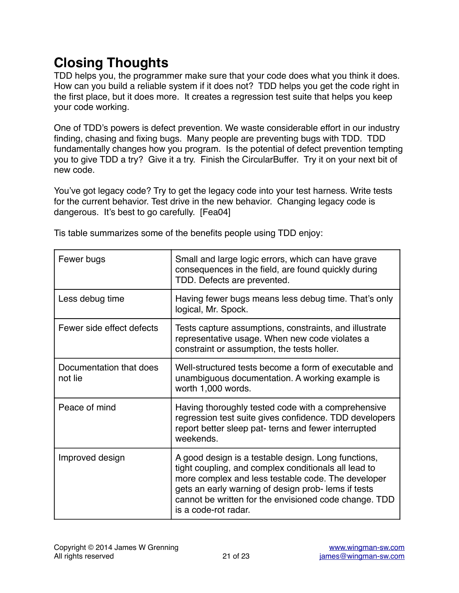# **Closing Thoughts**

TDD helps you, the programmer make sure that your code does what you think it does. How can you build a reliable system if it does not? TDD helps you get the code right in the first place, but it does more. It creates a regression test suite that helps you keep your code working.

One of TDD's powers is defect prevention. We waste considerable effort in our industry finding, chasing and fixing bugs. Many people are preventing bugs with TDD. TDD fundamentally changes how you program. Is the potential of defect prevention tempting you to give TDD a try? Give it a try. Finish the CircularBuffer. Try it on your next bit of new code.

You've got legacy code? Try to get the legacy code into your test harness. Write tests for the current behavior. Test drive in the new behavior. Changing legacy code is dangerous. It's best to go carefully. [Fea04]

| Fewer bugs                         | Small and large logic errors, which can have grave<br>consequences in the field, are found quickly during<br>TDD. Defects are prevented.                                                                                                                                                                 |
|------------------------------------|----------------------------------------------------------------------------------------------------------------------------------------------------------------------------------------------------------------------------------------------------------------------------------------------------------|
| Less debug time                    | Having fewer bugs means less debug time. That's only<br>logical, Mr. Spock.                                                                                                                                                                                                                              |
| Fewer side effect defects          | Tests capture assumptions, constraints, and illustrate<br>representative usage. When new code violates a<br>constraint or assumption, the tests holler.                                                                                                                                                  |
| Documentation that does<br>not lie | Well-structured tests become a form of executable and<br>unambiguous documentation. A working example is<br>worth 1,000 words.                                                                                                                                                                           |
| Peace of mind                      | Having thoroughly tested code with a comprehensive<br>regression test suite gives confidence. TDD developers<br>report better sleep pat- terns and fewer interrupted<br>weekends.                                                                                                                        |
| Improved design                    | A good design is a testable design. Long functions,<br>tight coupling, and complex conditionals all lead to<br>more complex and less testable code. The developer<br>gets an early warning of design prob-lems if tests<br>cannot be written for the envisioned code change. TDD<br>is a code-rot radar. |

Tis table summarizes some of the benefits people using TDD enjoy: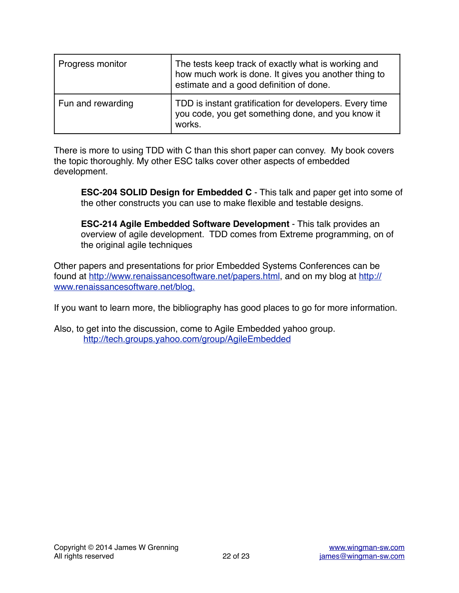| Progress monitor  | The tests keep track of exactly what is working and<br>how much work is done. It gives you another thing to<br>estimate and a good definition of done. |
|-------------------|--------------------------------------------------------------------------------------------------------------------------------------------------------|
| Fun and rewarding | TDD is instant gratification for developers. Every time<br>you code, you get something done, and you know it<br>works.                                 |

There is more to using TDD with C than this short paper can convey. My book covers the topic thoroughly. My other ESC talks cover other aspects of embedded development.

**ESC-204 SOLID Design for Embedded C** - This talk and paper get into some of the other constructs you can use to make flexible and testable designs.

**ESC-214 Agile Embedded Software Development** - This talk provides an overview of agile development. TDD comes from Extreme programming, on of the original agile techniques

Other papers and presentations for prior Embedded Systems Conferences can be [found at http://www.renaissancesoftware.net/papers.html, and on my blog at http://](http://www.renaissancesoftware.net/papers.html) www.renaissancesoftware.net/blog.

If you want to learn more, the bibliography has good places to go for more information.

Also, to get into the discussion, come to Agile Embedded yahoo group. <http://tech.groups.yahoo.com/group/AgileEmbedded>